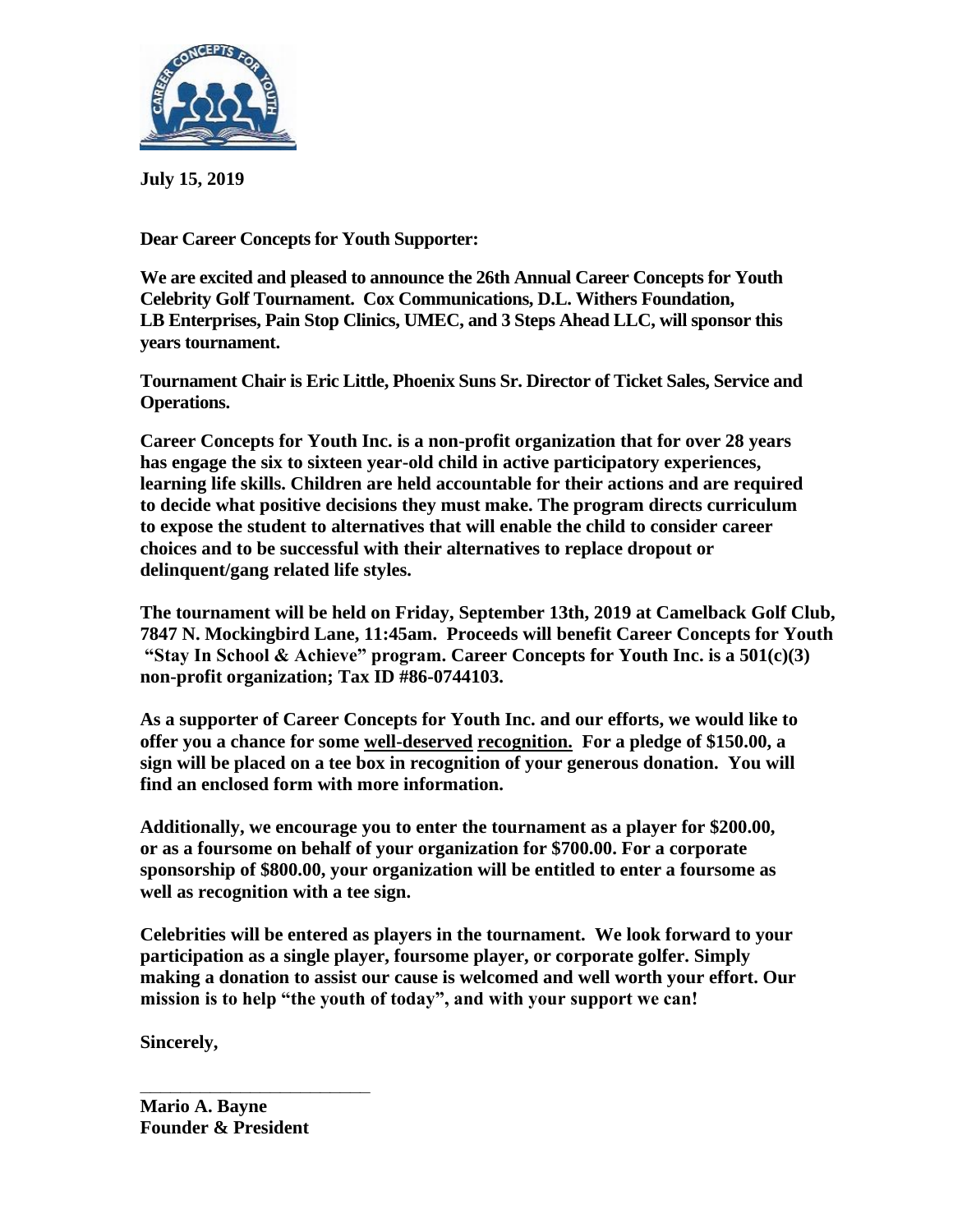

**July 15, 2019**

**Dear Career Concepts for Youth Supporter:**

**We are excited and pleased to announce the 26th Annual Career Concepts for Youth Celebrity Golf Tournament. Cox Communications, D.L. Withers Foundation, LB Enterprises, Pain Stop Clinics, UMEC, and 3 Steps Ahead LLC, will sponsor this years tournament.** 

**Tournament Chair is Eric Little, Phoenix Suns Sr. Director of Ticket Sales, Service and Operations.**

**Career Concepts for Youth Inc. is a non-profit organization that for over 28 years has engage the six to sixteen year-old child in active participatory experiences, learning life skills. Children are held accountable for their actions and are required to decide what positive decisions they must make. The program directs curriculum to expose the student to alternatives that will enable the child to consider career choices and to be successful with their alternatives to replace dropout or delinquent/gang related life styles.** 

**The tournament will be held on Friday, September 13th, 2019 at Camelback Golf Club, 7847 N. Mockingbird Lane, 11:45am. Proceeds will benefit Career Concepts for Youth "Stay In School & Achieve" program. Career Concepts for Youth Inc. is a 501(c)(3) non-profit organization; Tax ID #86-0744103.**

**As a supporter of Career Concepts for Youth Inc. and our efforts, we would like to offer you a chance for some well-deserved recognition. For a pledge of \$150.00, a sign will be placed on a tee box in recognition of your generous donation. You will find an enclosed form with more information.**

**Additionally, we encourage you to enter the tournament as a player for \$200.00, or as a foursome on behalf of your organization for \$700.00. For a corporate sponsorship of \$800.00, your organization will be entitled to enter a foursome as well as recognition with a tee sign.**

**Celebrities will be entered as players in the tournament. We look forward to your participation as a single player, foursome player, or corporate golfer. Simply making a donation to assist our cause is welcomed and well worth your effort. Our mission is to help "the youth of today", and with your support we can!** 

**Sincerely,** 

**Mario A. Bayne Founder & President**

**\_\_\_\_\_\_\_\_\_\_\_\_\_\_\_\_\_\_\_\_\_\_\_**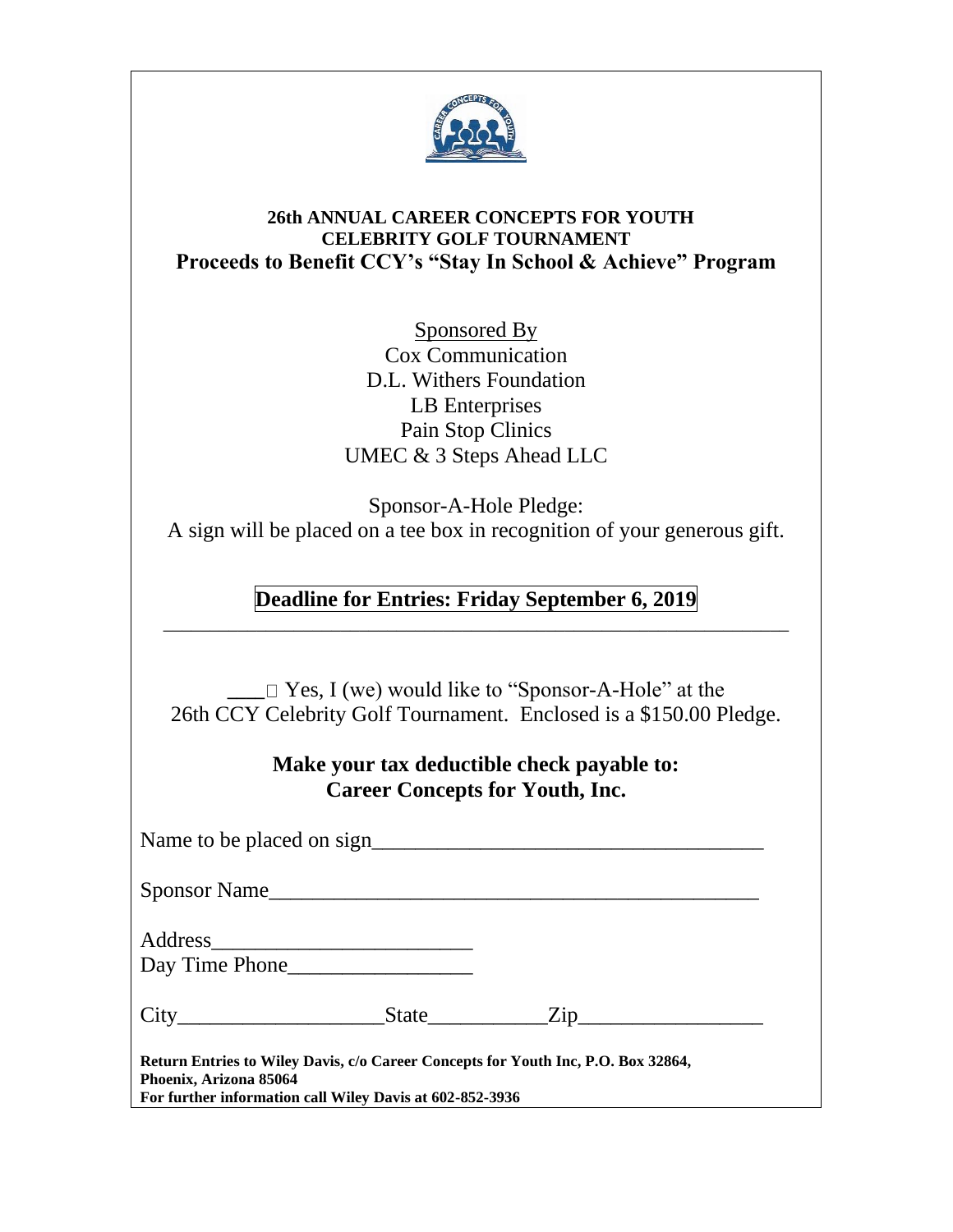

## **26th ANNUAL CAREER CONCEPTS FOR YOUTH CELEBRITY GOLF TOURNAMENT Proceeds to Benefit CCY's "Stay In School & Achieve" Program**

Sponsored By Cox Communication D.L. Withers Foundation LB Enterprises Pain Stop Clinics UMEC & 3 Steps Ahead LLC

Sponsor-A-Hole Pledge: A sign will be placed on a tee box in recognition of your generous gift.

**Deadline for Entries: Friday September 6, 2019**  \_\_\_\_\_\_\_\_\_\_\_\_\_\_\_\_\_\_\_\_\_\_\_\_\_\_\_\_\_\_\_\_\_\_\_\_\_\_\_\_\_\_\_\_\_\_\_\_\_\_\_\_\_\_\_\_\_\_\_\_\_\_\_\_\_\_\_

 $\Box$  Yes, I (we) would like to "Sponsor-A-Hole" at the 26th CCY Celebrity Golf Tournament. Enclosed is a \$150.00 Pledge.

## **Make your tax deductible check payable to: Career Concepts for Youth, Inc.**

Name to be placed on sign\_\_\_\_\_\_\_\_\_\_\_\_\_\_\_\_\_\_\_\_\_\_\_\_\_\_\_\_\_\_\_\_\_\_\_\_ Sponsor Name Address\_\_\_\_\_\_\_\_\_\_\_\_\_\_\_\_\_\_\_\_\_\_\_\_ Day Time Phone City State Zip **Return Entries to Wiley Davis, c/o Career Concepts for Youth Inc, P.O. Box 32864, Phoenix, Arizona 85064 For further information call Wiley Davis at 602-852-3936**